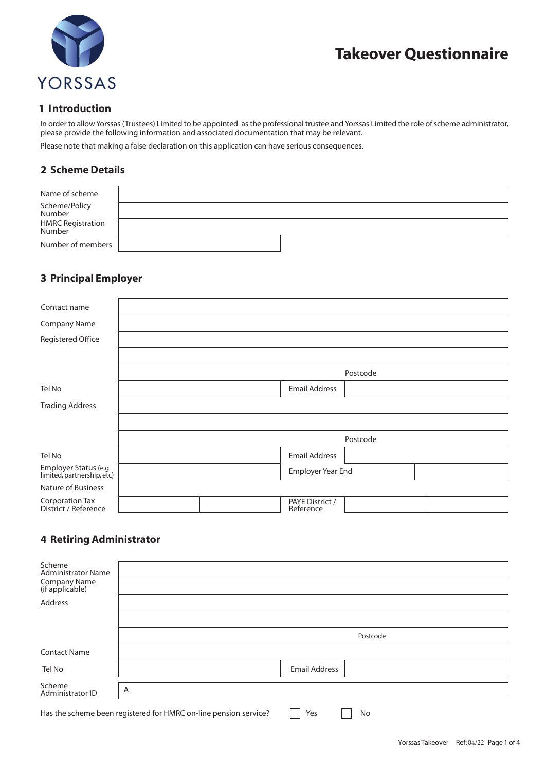



#### **1 Introduction**

In order to allow Yorssas (Trustees) Limited to be appointed as the professional trustee and Yorssas Limited the role of scheme administrator, please provide the following information and associated documentation that may be relevant.

Please note that making a false declaration on this application can have serious consequences.

### **2 Scheme Details**

| Name of scheme              |  |
|-----------------------------|--|
| Scheme/Policy<br>Number     |  |
| HMRC Registration<br>Number |  |
| Number of members           |  |

### **3 Principal Employer**

| Contact name                                        |                      |  |                              |          |  |
|-----------------------------------------------------|----------------------|--|------------------------------|----------|--|
| Company Name                                        |                      |  |                              |          |  |
| Registered Office                                   |                      |  |                              |          |  |
|                                                     |                      |  |                              |          |  |
|                                                     |                      |  |                              | Postcode |  |
| Tel No                                              | <b>Email Address</b> |  |                              |          |  |
| <b>Trading Address</b>                              |                      |  |                              |          |  |
|                                                     |                      |  |                              |          |  |
|                                                     | Postcode             |  |                              |          |  |
| Tel No                                              |                      |  | <b>Email Address</b>         |          |  |
| Employer Status (e.g.<br>limited, partnership, etc) |                      |  | Employer Year End            |          |  |
| Nature of Business                                  |                      |  |                              |          |  |
| Corporation Tax<br>District / Reference             |                      |  | PAYE District /<br>Reference |          |  |

## **4 Retiring Administrator**

| Scheme<br>Administrator Name<br>Company Name<br>(if applicable) |                                                                               |
|-----------------------------------------------------------------|-------------------------------------------------------------------------------|
| Address                                                         |                                                                               |
|                                                                 |                                                                               |
|                                                                 | Postcode                                                                      |
| <b>Contact Name</b>                                             |                                                                               |
| Tel No                                                          | <b>Email Address</b>                                                          |
| Scheme<br>Administrator ID                                      | A                                                                             |
|                                                                 | Has the scheme been registered for HMRC on-line pension service?<br>Yes<br>No |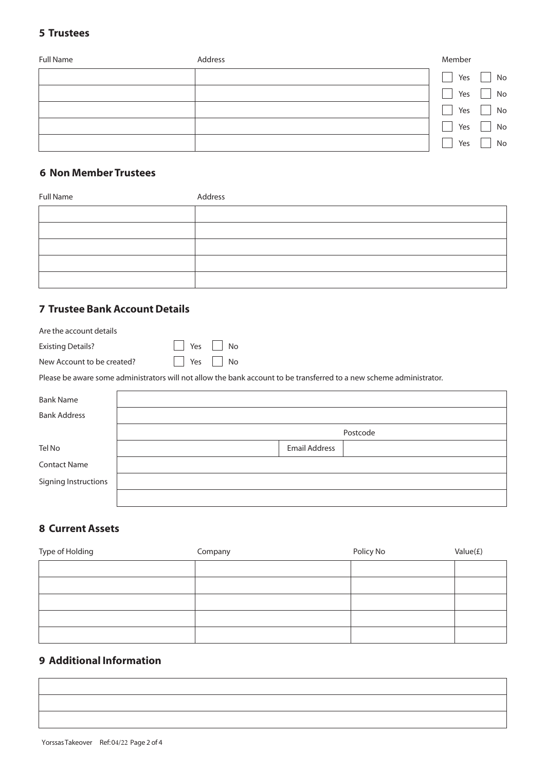## **5 Trustees**

| <b>Full Name</b> | Address | Member |    |
|------------------|---------|--------|----|
|                  |         | Yes    | No |
|                  |         | Yes    | No |
|                  |         | Yes    | No |
|                  |         | Yes    | No |
|                  |         | Yes    | No |

### **6 Non Member Trustees**

| Full Name | Address |
|-----------|---------|
|           |         |
|           |         |
|           |         |
|           |         |
|           |         |

## **7 Trustee Bank Account Details**

| Are the account details    |                                                                                                                      |                      |          |
|----------------------------|----------------------------------------------------------------------------------------------------------------------|----------------------|----------|
| <b>Existing Details?</b>   | Yes<br>No                                                                                                            |                      |          |
| New Account to be created? | Yes<br>No                                                                                                            |                      |          |
|                            | Please be aware some administrators will not allow the bank account to be transferred to a new scheme administrator. |                      |          |
|                            |                                                                                                                      |                      |          |
| <b>Bank Name</b>           |                                                                                                                      |                      |          |
| <b>Bank Address</b>        |                                                                                                                      |                      |          |
|                            |                                                                                                                      |                      | Postcode |
| Tel No                     |                                                                                                                      | <b>Email Address</b> |          |
| <b>Contact Name</b>        |                                                                                                                      |                      |          |
| Signing Instructions       |                                                                                                                      |                      |          |
|                            |                                                                                                                      |                      |          |

## **8 Current Assets**

| Type of Holding | Company | Policy No | Value $(E)$ |
|-----------------|---------|-----------|-------------|
|                 |         |           |             |
|                 |         |           |             |
|                 |         |           |             |
|                 |         |           |             |
|                 |         |           |             |

## **9 Additional Information**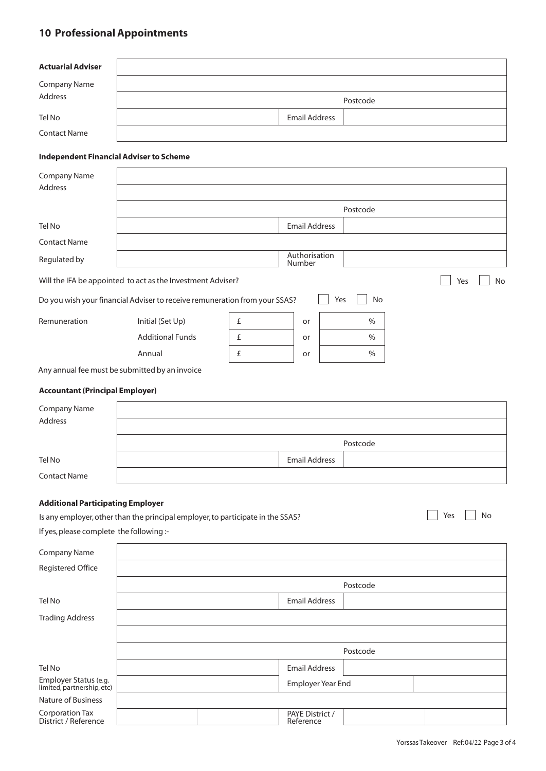# **10 Professional Appointments**

| <b>Actuarial Adviser</b>                       |                                                                                 |   |                          |     |               |           |
|------------------------------------------------|---------------------------------------------------------------------------------|---|--------------------------|-----|---------------|-----------|
| Company Name                                   |                                                                                 |   |                          |     |               |           |
| Address                                        |                                                                                 |   |                          |     | Postcode      |           |
| Tel No                                         |                                                                                 |   | <b>Email Address</b>     |     |               |           |
| <b>Contact Name</b>                            |                                                                                 |   |                          |     |               |           |
| <b>Independent Financial Adviser to Scheme</b> |                                                                                 |   |                          |     |               |           |
| <b>Company Name</b>                            |                                                                                 |   |                          |     |               |           |
| Address                                        |                                                                                 |   |                          |     |               |           |
|                                                |                                                                                 |   |                          |     | Postcode      |           |
| Tel No                                         |                                                                                 |   | <b>Email Address</b>     |     |               |           |
| <b>Contact Name</b>                            |                                                                                 |   |                          |     |               |           |
| Regulated by                                   |                                                                                 |   | Authorisation<br>Number  |     |               |           |
|                                                | Will the IFA be appointed to act as the Investment Adviser?                     |   |                          |     |               | Yes<br>No |
|                                                | Do you wish your financial Adviser to receive remuneration from your SSAS?      |   |                          | Yes | No            |           |
| Remuneration                                   | Initial (Set Up)                                                                | £ | or                       |     | $\%$          |           |
|                                                | <b>Additional Funds</b>                                                         | £ | or                       |     | $\frac{0}{0}$ |           |
|                                                | Annual                                                                          | £ | or                       |     | $\%$          |           |
|                                                | Any annual fee must be submitted by an invoice                                  |   |                          |     |               |           |
| <b>Accountant (Principal Employer)</b>         |                                                                                 |   |                          |     |               |           |
| <b>Company Name</b>                            |                                                                                 |   |                          |     |               |           |
| Address                                        |                                                                                 |   |                          |     |               |           |
|                                                |                                                                                 |   |                          |     | Postcode      |           |
| Tel No                                         |                                                                                 |   | <b>Email Address</b>     |     |               |           |
| <b>Contact Name</b>                            |                                                                                 |   |                          |     |               |           |
|                                                |                                                                                 |   |                          |     |               |           |
| <b>Additional Participating Employer</b>       |                                                                                 |   |                          |     |               |           |
|                                                | Is any employer, other than the principal employer, to participate in the SSAS? |   |                          |     |               | Yes<br>No |
| If yes, please complete the following :-       |                                                                                 |   |                          |     |               |           |
| Company Name                                   |                                                                                 |   |                          |     |               |           |
| Registered Office                              |                                                                                 |   |                          |     |               |           |
|                                                |                                                                                 |   |                          |     | Postcode      |           |
| Tel No                                         |                                                                                 |   | <b>Email Address</b>     |     |               |           |
| <b>Trading Address</b>                         |                                                                                 |   |                          |     |               |           |
|                                                |                                                                                 |   |                          |     |               |           |
|                                                |                                                                                 |   |                          |     | Postcode      |           |
| Tel No                                         |                                                                                 |   | <b>Email Address</b>     |     |               |           |
| Employer Status (e.g.                          |                                                                                 |   | <b>Employer Year End</b> |     |               |           |

| Employer Status (e.g.<br>limited, partnership, etc) | Employer Year End            |  |
|-----------------------------------------------------|------------------------------|--|
| Nature of Business                                  |                              |  |
| <b>Corporation Tax</b><br>District / Reference      | PAYE District /<br>Reference |  |